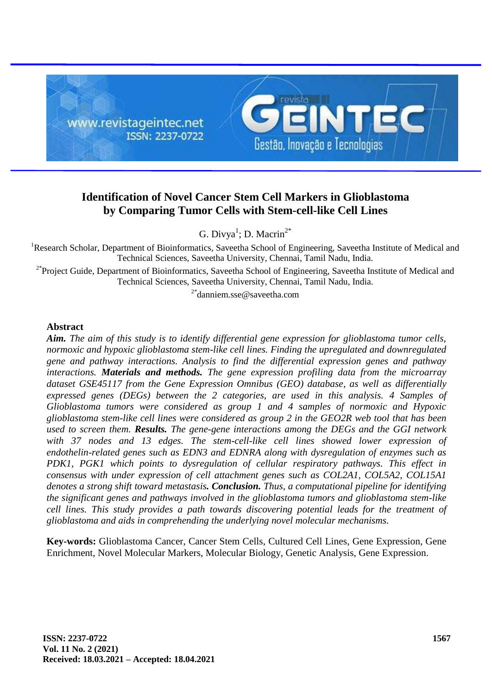

# **Identification of Novel Cancer Stem Cell Markers in Glioblastoma by Comparing Tumor Cells with Stem-cell-like Cell Lines**

G. Divya<sup>1</sup>; D. Macrin<sup>2\*</sup>

<sup>1</sup>Research Scholar, Department of Bioinformatics, Saveetha School of Engineering, Saveetha Institute of Medical and Technical Sciences, Saveetha University, Chennai, Tamil Nadu, India.

<sup>2\*</sup>Project Guide, Department of Bioinformatics, Saveetha School of Engineering, Saveetha Institute of Medical and Technical Sciences, Saveetha University, Chennai, Tamil Nadu, India.

2\*danniem.sse@saveetha.com

#### **Abstract**

*Aim. The aim of this study is to identify differential gene expression for glioblastoma tumor cells, normoxic and hypoxic glioblastoma stem-like cell lines. Finding the upregulated and downregulated gene and pathway interactions. Analysis to find the differential expression genes and pathway interactions. Materials and methods. The gene expression profiling data from the microarray dataset GSE45117 from the Gene Expression Omnibus (GEO) database, as well as differentially expressed genes (DEGs) between the 2 categories, are used in this analysis. 4 Samples of Glioblastoma tumors were considered as group 1 and 4 samples of normoxic and Hypoxic glioblastoma stem-like cell lines were considered as group 2 in the GEO2R web tool that has been used to screen them. Results. The gene-gene interactions among the DEGs and the GGI network*  with 37 nodes and 13 edges. The stem-cell-like cell lines showed lower expression of *endothelin-related genes such as EDN3 and EDNRA along with dysregulation of enzymes such as PDK1, PGK1 which points to dysregulation of cellular respiratory pathways. This effect in consensus with under expression of cell attachment genes such as COL2A1, COL5A2, COL15A1 denotes a strong shift toward metastasis. Conclusion. Thus, a computational pipeline for identifying the significant genes and pathways involved in the glioblastoma tumors and glioblastoma stem-like cell lines. This study provides a path towards discovering potential leads for the treatment of glioblastoma and aids in comprehending the underlying novel molecular mechanisms.*

**Key-words:** Glioblastoma Cancer, Cancer Stem Cells, Cultured Cell Lines, Gene Expression, Gene Enrichment, Novel Molecular Markers, Molecular Biology, Genetic Analysis, Gene Expression.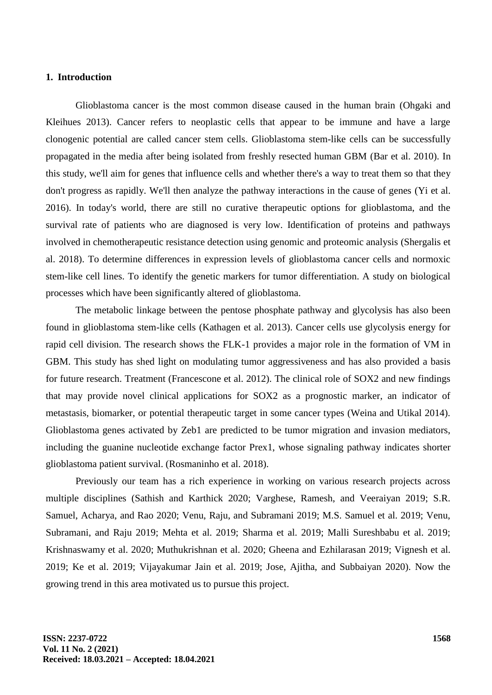# **1. Introduction**

Glioblastoma cancer is the most common disease caused in the human brain (Ohgaki and Kleihues 2013). Cancer refers to neoplastic cells that appear to be immune and have a large clonogenic potential are called cancer stem cells. Glioblastoma stem-like cells can be successfully propagated in the media after being isolated from freshly resected human GBM (Bar et al. 2010). In this study, we'll aim for genes that influence cells and whether there's a way to treat them so that they don't progress as rapidly. We'll then analyze the pathway interactions in the cause of genes (Yi et al. 2016). In today's world, there are still no curative therapeutic options for glioblastoma, and the survival rate of patients who are diagnosed is very low. Identification of proteins and pathways involved in chemotherapeutic resistance detection using genomic and proteomic analysis (Shergalis et al. 2018). To determine differences in expression levels of glioblastoma cancer cells and normoxic stem-like cell lines. To identify the genetic markers for tumor differentiation. A study on biological processes which have been significantly altered of glioblastoma.

The metabolic linkage between the pentose phosphate pathway and glycolysis has also been found in glioblastoma stem-like cells (Kathagen et al. 2013). Cancer cells use glycolysis energy for rapid cell division. The research shows the FLK-1 provides a major role in the formation of VM in GBM. This study has shed light on modulating tumor aggressiveness and has also provided a basis for future research. Treatment (Francescone et al. 2012). The clinical role of SOX2 and new findings that may provide novel clinical applications for SOX2 as a prognostic marker, an indicator of metastasis, biomarker, or potential therapeutic target in some cancer types (Weina and Utikal 2014). Glioblastoma genes activated by Zeb1 are predicted to be tumor migration and invasion mediators, including the guanine nucleotide exchange factor Prex1, whose signaling pathway indicates shorter glioblastoma patient survival. (Rosmaninho et al. 2018).

Previously our team has a rich experience in working on various research projects across multiple disciplines (Sathish and Karthick 2020; Varghese, Ramesh, and Veeraiyan 2019; S.R. Samuel, Acharya, and Rao 2020; Venu, Raju, and Subramani 2019; M.S. Samuel et al. 2019; Venu, Subramani, and Raju 2019; Mehta et al. 2019; Sharma et al. 2019; Malli Sureshbabu et al. 2019; Krishnaswamy et al. 2020; Muthukrishnan et al. 2020; Gheena and Ezhilarasan 2019; Vignesh et al. 2019; Ke et al. 2019; Vijayakumar Jain et al. 2019; Jose, Ajitha, and Subbaiyan 2020). Now the growing trend in this area motivated us to pursue this project.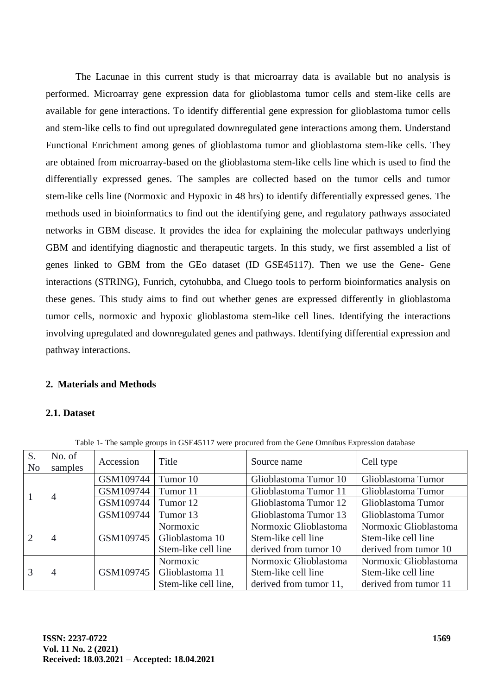The Lacunae in this current study is that microarray data is available but no analysis is performed. Microarray gene expression data for glioblastoma tumor cells and stem-like cells are available for gene interactions. To identify differential gene expression for glioblastoma tumor cells and stem-like cells to find out upregulated downregulated gene interactions among them. Understand Functional Enrichment among genes of glioblastoma tumor and glioblastoma stem-like cells. They are obtained from microarray-based on the glioblastoma stem-like cells line which is used to find the differentially expressed genes. The samples are collected based on the tumor cells and tumor stem-like cells line (Normoxic and Hypoxic in 48 hrs) to identify differentially expressed genes. The methods used in bioinformatics to find out the identifying gene, and regulatory pathways associated networks in GBM disease. It provides the idea for explaining the molecular pathways underlying GBM and identifying diagnostic and therapeutic targets. In this study, we first assembled a list of genes linked to GBM from the GEo dataset (ID GSE45117). Then we use the Gene- Gene interactions (STRING), Funrich, cytohubba, and Cluego tools to perform bioinformatics analysis on these genes. This study aims to find out whether genes are expressed differently in glioblastoma tumor cells, normoxic and hypoxic glioblastoma stem-like cell lines. Identifying the interactions involving upregulated and downregulated genes and pathways. Identifying differential expression and pathway interactions.

# **2. Materials and Methods**

# **2.1. Dataset**

| S.<br>N <sub>0</sub>  | No. of<br>samples | Accession | Title                | Source name            | Cell type             |
|-----------------------|-------------------|-----------|----------------------|------------------------|-----------------------|
|                       | 4                 | GSM109744 | Tumor 10             | Glioblastoma Tumor 10  | Glioblastoma Tumor    |
|                       |                   | GSM109744 | Tumor 11             | Glioblastoma Tumor 11  | Glioblastoma Tumor    |
|                       |                   | GSM109744 | Tumor 12             | Glioblastoma Tumor 12  | Glioblastoma Tumor    |
|                       |                   | GSM109744 | Tumor 13             | Glioblastoma Tumor 13  | Glioblastoma Tumor    |
| $\mathcal{D}_{\cdot}$ | $\overline{4}$    | GSM109745 | <b>Normoxic</b>      | Normoxic Glioblastoma  | Normoxic Glioblastoma |
|                       |                   |           | Glioblastoma 10      | Stem-like cell line    | Stem-like cell line   |
|                       |                   |           | Stem-like cell line  | derived from tumor 10  | derived from tumor 10 |
| 3                     | 4                 | GSM109745 | Normoxic             | Normoxic Glioblastoma  | Normoxic Glioblastoma |
|                       |                   |           | Glioblastoma 11      | Stem-like cell line    | Stem-like cell line   |
|                       |                   |           | Stem-like cell line, | derived from tumor 11, | derived from tumor 11 |

Table 1- The sample groups in GSE45117 were procured from the Gene Omnibus Expression database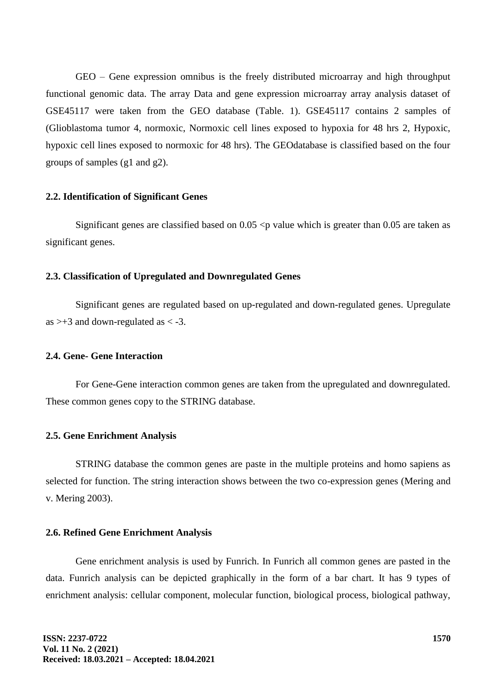GEO – Gene expression omnibus is the freely distributed microarray and high throughput functional genomic data. The array Data and gene expression microarray array analysis dataset of GSE45117 were taken from the GEO database (Table. 1). GSE45117 contains 2 samples of (Glioblastoma tumor 4, normoxic, Normoxic cell lines exposed to hypoxia for 48 hrs 2, Hypoxic, hypoxic cell lines exposed to normoxic for 48 hrs). The GEOdatabase is classified based on the four groups of samples (g1 and g2).

#### **2.2. Identification of Significant Genes**

Significant genes are classified based on  $0.05 < p$  value which is greater than 0.05 are taken as significant genes.

# **2.3. Classification of Upregulated and Downregulated Genes**

Significant genes are regulated based on up-regulated and down-regulated genes. Upregulate as  $>+3$  and down-regulated as  $< -3$ .

# **2.4. Gene- Gene Interaction**

For Gene-Gene interaction common genes are taken from the upregulated and downregulated. These common genes copy to the STRING database.

#### **2.5. Gene Enrichment Analysis**

STRING database the common genes are paste in the multiple proteins and homo sapiens as selected for function. The string interaction shows between the two co-expression genes (Mering and v. Mering 2003).

#### **2.6. Refined Gene Enrichment Analysis**

Gene enrichment analysis is used by Funrich. In Funrich all common genes are pasted in the data. Funrich analysis can be depicted graphically in the form of a bar chart. It has 9 types of enrichment analysis: cellular component, molecular function, biological process, biological pathway,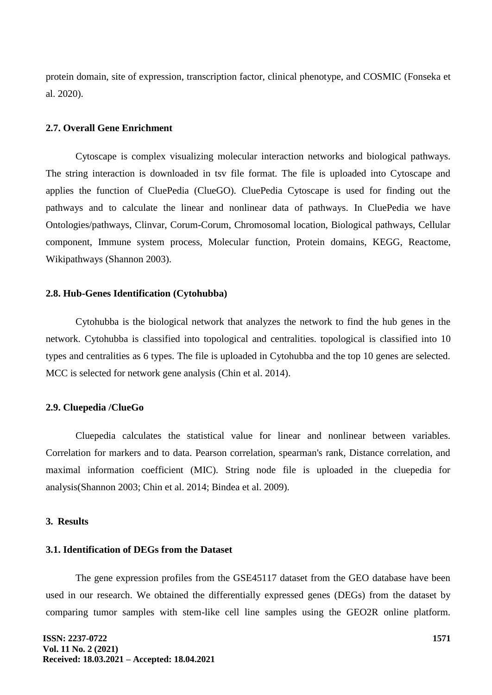protein domain, site of expression, transcription factor, clinical phenotype, and COSMIC (Fonseka et al. 2020).

#### **2.7. Overall Gene Enrichment**

Cytoscape is complex visualizing molecular interaction networks and biological pathways. The string interaction is downloaded in tsv file format. The file is uploaded into Cytoscape and applies the function of CluePedia (ClueGO). CluePedia Cytoscape is used for finding out the pathways and to calculate the linear and nonlinear data of pathways. In CluePedia we have Ontologies/pathways, Clinvar, Corum-Corum, Chromosomal location, Biological pathways, Cellular component, Immune system process, Molecular function, Protein domains, KEGG, Reactome, Wikipathways (Shannon 2003).

#### **2.8. Hub-Genes Identification (Cytohubba)**

Cytohubba is the biological network that analyzes the network to find the hub genes in the network. Cytohubba is classified into topological and centralities. topological is classified into 10 types and centralities as 6 types. The file is uploaded in Cytohubba and the top 10 genes are selected. MCC is selected for network gene analysis (Chin et al. 2014).

#### **2.9. Cluepedia /ClueGo**

Cluepedia calculates the statistical value for linear and nonlinear between variables. Correlation for markers and to data. Pearson correlation, spearman's rank, Distance correlation, and maximal information coefficient (MIC). String node file is uploaded in the cluepedia for analysis(Shannon 2003; Chin et al. 2014; Bindea et al. 2009).

# **3. Results**

#### **3.1. Identification of DEGs from the Dataset**

The gene expression profiles from the GSE45117 dataset from the GEO database have been used in our research. We obtained the differentially expressed genes (DEGs) from the dataset by comparing tumor samples with stem-like cell line samples using the GEO2R online platform.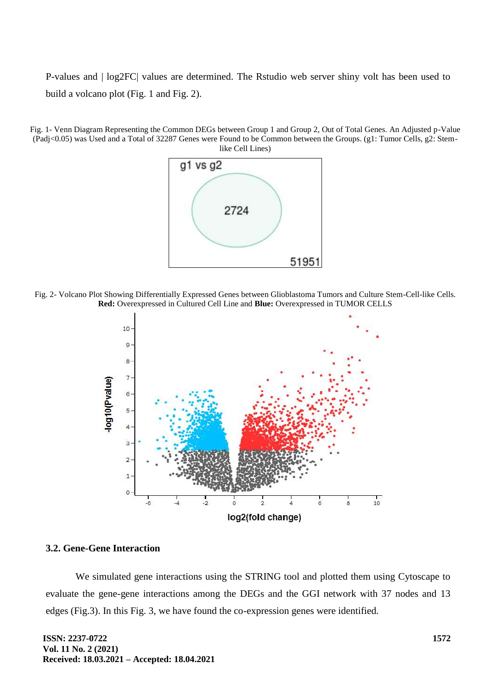P-values and | log2FC| values are determined. The Rstudio web server shiny volt has been used to build a volcano plot (Fig. 1 and Fig. 2).





Fig. 2- Volcano Plot Showing Differentially Expressed Genes between Glioblastoma Tumors and Culture Stem-Cell-like Cells. **Red:** Overexpressed in Cultured Cell Line and **Blue:** Overexpressed in TUMOR CELLS



## **3.2. Gene-Gene Interaction**

We simulated gene interactions using the STRING tool and plotted them using Cytoscape to evaluate the gene-gene interactions among the DEGs and the GGI network with 37 nodes and 13 edges (Fig.3). In this Fig. 3, we have found the co-expression genes were identified.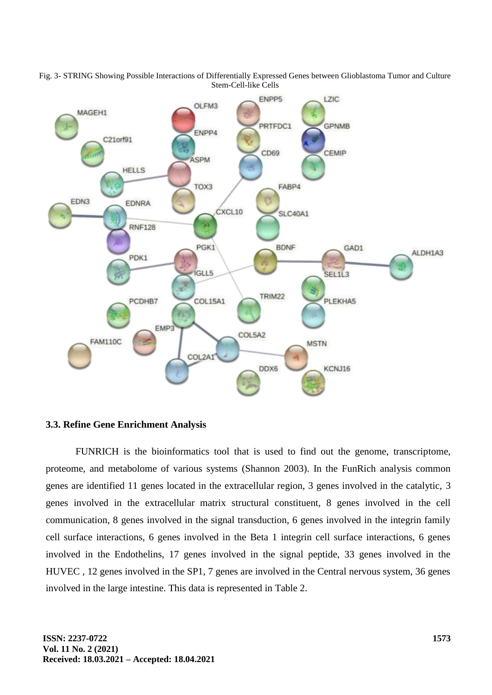

Fig. 3- STRING Showing Possible Interactions of Differentially Expressed Genes between Glioblastoma Tumor and Culture Stem-Cell-like Cells

# **3.3. Refine Gene Enrichment Analysis**

FUNRICH is the bioinformatics tool that is used to find out the genome, transcriptome, proteome, and metabolome of various systems (Shannon 2003). In the FunRich analysis common genes are identified 11 genes located in the extracellular region, 3 genes involved in the catalytic, 3 genes involved in the extracellular matrix structural constituent, 8 genes involved in the cell communication, 8 genes involved in the signal transduction, 6 genes involved in the integrin family cell surface interactions, 6 genes involved in the Beta 1 integrin cell surface interactions, 6 genes involved in the Endothelins, 17 genes involved in the signal peptide, 33 genes involved in the HUVEC , 12 genes involved in the SP1, 7 genes are involved in the Central nervous system, 36 genes involved in the large intestine. This data is represented in Table 2.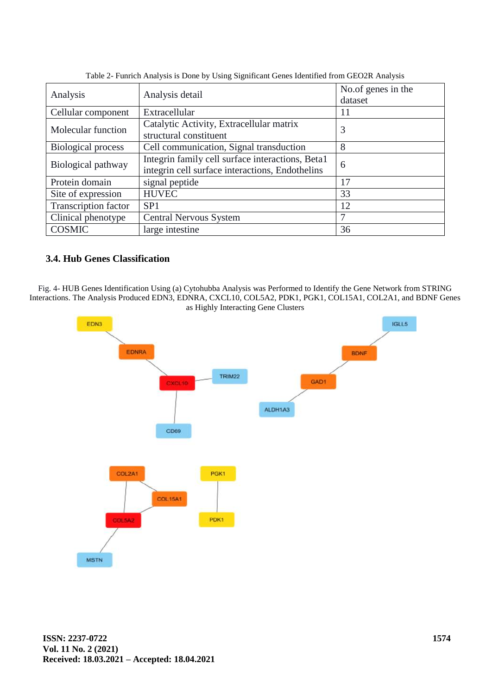| Analysis detail                                  | No.of genes in the<br>dataset |  |
|--------------------------------------------------|-------------------------------|--|
|                                                  |                               |  |
|                                                  | 11                            |  |
| Catalytic Activity, Extracellular matrix         | 3                             |  |
| structural constituent                           |                               |  |
| Cell communication, Signal transduction          | 8                             |  |
| Integrin family cell surface interactions, Beta1 | 6                             |  |
| integrin cell surface interactions, Endothelins  |                               |  |
| signal peptide                                   | 17                            |  |
| <b>HUVEC</b>                                     | 33                            |  |
| SP <sub>1</sub>                                  | 12                            |  |
| <b>Central Nervous System</b>                    | 7                             |  |
| large intestine                                  | 36                            |  |
|                                                  | Extracellular                 |  |

Table 2- Funrich Analysis is Done by Using Significant Genes Identified from GEO2R Analysis

# **3.4. Hub Genes Classification**

Fig. 4- HUB Genes Identification Using (a) Cytohubba Analysis was Performed to Identify the Gene Network from STRING Interactions. The Analysis Produced EDN3, EDNRA, CXCL10, COL5A2, PDK1, PGK1, COL15A1, COL2A1, and BDNF Genes as Highly Interacting Gene Clusters

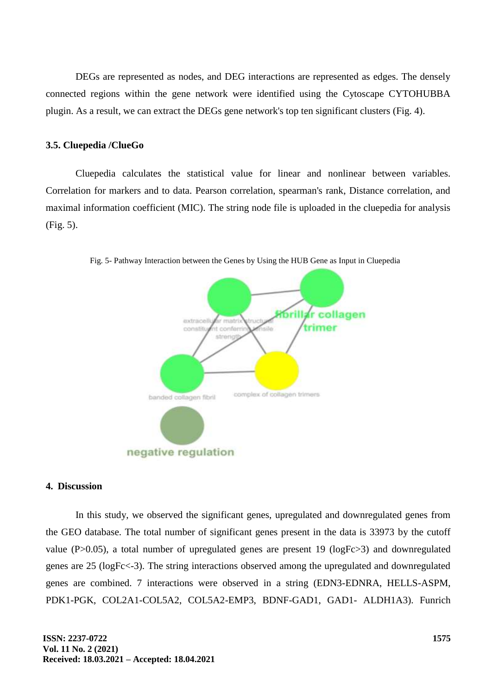DEGs are represented as nodes, and DEG interactions are represented as edges. The densely connected regions within the gene network were identified using the Cytoscape CYTOHUBBA plugin. As a result, we can extract the DEGs gene network's top ten significant clusters (Fig. 4).

#### **3.5. Cluepedia /ClueGo**

Cluepedia calculates the statistical value for linear and nonlinear between variables. Correlation for markers and to data. Pearson correlation, spearman's rank, Distance correlation, and maximal information coefficient (MIC). The string node file is uploaded in the cluepedia for analysis (Fig. 5).



Fig. 5- Pathway Interaction between the Genes by Using the HUB Gene as Input in Cluepedia

#### **4. Discussion**

In this study, we observed the significant genes, upregulated and downregulated genes from the GEO database. The total number of significant genes present in the data is 33973 by the cutoff value (P>0.05), a total number of upregulated genes are present 19 (logFc>3) and downregulated genes are 25 (logFc<-3). The string interactions observed among the upregulated and downregulated genes are combined. 7 interactions were observed in a string (EDN3-EDNRA, HELLS-ASPM, PDK1-PGK, COL2A1-COL5A2, COL5A2-EMP3, BDNF-GAD1, GAD1- ALDH1A3). Funrich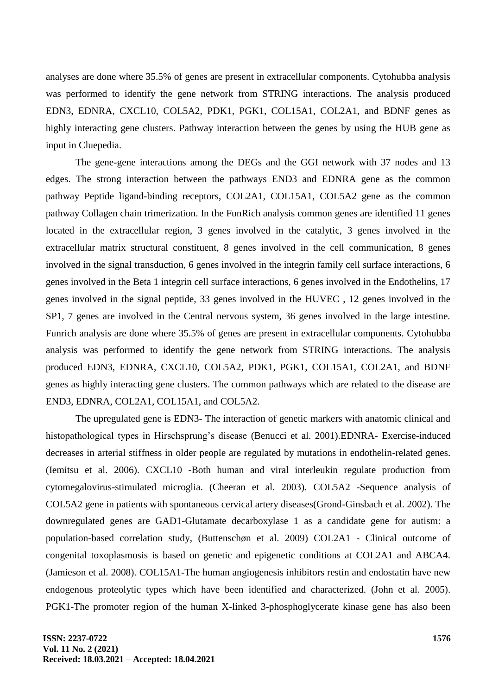analyses are done where 35.5% of genes are present in extracellular components. Cytohubba analysis was performed to identify the gene network from STRING interactions. The analysis produced EDN3, EDNRA, CXCL10, COL5A2, PDK1, PGK1, COL15A1, COL2A1, and BDNF genes as highly interacting gene clusters. Pathway interaction between the genes by using the HUB gene as input in Cluepedia.

The gene-gene interactions among the DEGs and the GGI network with 37 nodes and 13 edges. The strong interaction between the pathways END3 and EDNRA gene as the common pathway Peptide ligand-binding receptors, COL2A1, COL15A1, COL5A2 gene as the common pathway Collagen chain trimerization. In the FunRich analysis common genes are identified 11 genes located in the extracellular region, 3 genes involved in the catalytic, 3 genes involved in the extracellular matrix structural constituent, 8 genes involved in the cell communication, 8 genes involved in the signal transduction, 6 genes involved in the integrin family cell surface interactions, 6 genes involved in the Beta 1 integrin cell surface interactions, 6 genes involved in the Endothelins, 17 genes involved in the signal peptide, 33 genes involved in the HUVEC , 12 genes involved in the SP1, 7 genes are involved in the Central nervous system, 36 genes involved in the large intestine. Funrich analysis are done where 35.5% of genes are present in extracellular components. Cytohubba analysis was performed to identify the gene network from STRING interactions. The analysis produced EDN3, EDNRA, CXCL10, COL5A2, PDK1, PGK1, COL15A1, COL2A1, and BDNF genes as highly interacting gene clusters. The common pathways which are related to the disease are END3, EDNRA, COL2A1, COL15A1, and COL5A2.

The upregulated gene is EDN3- The interaction of genetic markers with anatomic clinical and histopathological types in Hirschsprung's disease (Benucci et al. 2001).EDNRA- Exercise-induced decreases in arterial stiffness in older people are regulated by mutations in endothelin-related genes. (Iemitsu et al. 2006). CXCL10 -Both human and viral interleukin regulate production from cytomegalovirus-stimulated microglia. (Cheeran et al. 2003). COL5A2 -Sequence analysis of COL5A2 gene in patients with spontaneous cervical artery diseases(Grond-Ginsbach et al. 2002). The downregulated genes are GAD1-Glutamate decarboxylase 1 as a candidate gene for autism: a population-based correlation study, (Buttenschøn et al. 2009) COL2A1 - Clinical outcome of congenital toxoplasmosis is based on genetic and epigenetic conditions at COL2A1 and ABCA4. (Jamieson et al. 2008). COL15A1-The human angiogenesis inhibitors restin and endostatin have new endogenous proteolytic types which have been identified and characterized. (John et al. 2005). PGK1-The promoter region of the human X-linked 3-phosphoglycerate kinase gene has also been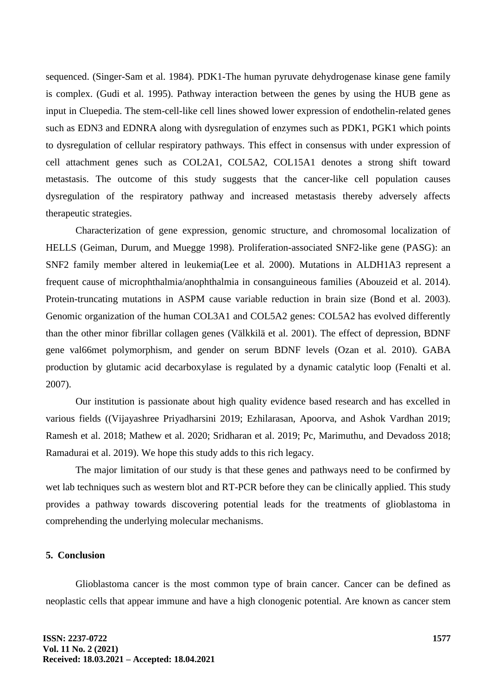sequenced. (Singer-Sam et al. 1984). PDK1-The human pyruvate dehydrogenase kinase gene family is complex. (Gudi et al. 1995). Pathway interaction between the genes by using the HUB gene as input in Cluepedia. The stem-cell-like cell lines showed lower expression of endothelin-related genes such as EDN3 and EDNRA along with dysregulation of enzymes such as PDK1, PGK1 which points to dysregulation of cellular respiratory pathways. This effect in consensus with under expression of cell attachment genes such as COL2A1, COL5A2, COL15A1 denotes a strong shift toward metastasis. The outcome of this study suggests that the cancer-like cell population causes dysregulation of the respiratory pathway and increased metastasis thereby adversely affects therapeutic strategies.

Characterization of gene expression, genomic structure, and chromosomal localization of HELLS (Geiman, Durum, and Muegge 1998). Proliferation-associated SNF2-like gene (PASG): an SNF2 family member altered in leukemia(Lee et al. 2000). Mutations in ALDH1A3 represent a frequent cause of microphthalmia/anophthalmia in consanguineous families (Abouzeid et al. 2014). Protein-truncating mutations in ASPM cause variable reduction in brain size (Bond et al. 2003). Genomic organization of the human COL3A1 and COL5A2 genes: COL5A2 has evolved differently than the other minor fibrillar collagen genes (Välkkilä et al. 2001). The effect of depression, BDNF gene val66met polymorphism, and gender on serum BDNF levels (Ozan et al. 2010). GABA production by glutamic acid decarboxylase is regulated by a dynamic catalytic loop (Fenalti et al. 2007).

Our institution is passionate about high quality evidence based research and has excelled in various fields ((Vijayashree Priyadharsini 2019; Ezhilarasan, Apoorva, and Ashok Vardhan 2019; Ramesh et al. 2018; Mathew et al. 2020; Sridharan et al. 2019; Pc, Marimuthu, and Devadoss 2018; Ramadurai et al. 2019). We hope this study adds to this rich legacy.

The major limitation of our study is that these genes and pathways need to be confirmed by wet lab techniques such as western blot and RT-PCR before they can be clinically applied. This study provides a pathway towards discovering potential leads for the treatments of glioblastoma in comprehending the underlying molecular mechanisms.

# **5. Conclusion**

Glioblastoma cancer is the most common type of brain cancer. Cancer can be defined as neoplastic cells that appear immune and have a high clonogenic potential. Are known as cancer stem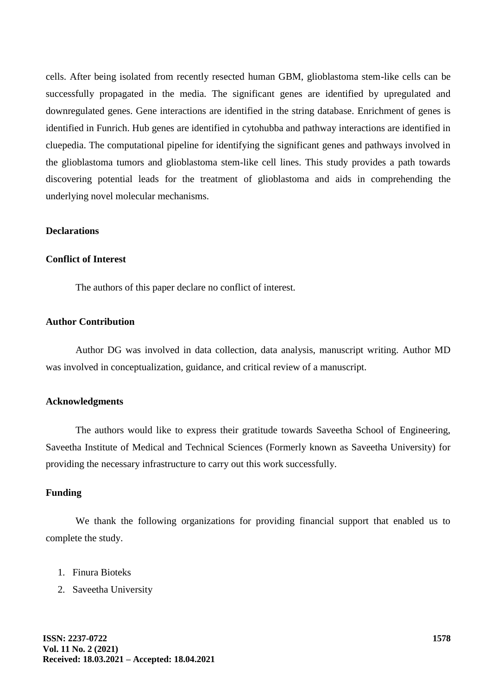cells. After being isolated from recently resected human GBM, glioblastoma stem-like cells can be successfully propagated in the media. The significant genes are identified by upregulated and downregulated genes. Gene interactions are identified in the string database. Enrichment of genes is identified in Funrich. Hub genes are identified in cytohubba and pathway interactions are identified in cluepedia. The computational pipeline for identifying the significant genes and pathways involved in the glioblastoma tumors and glioblastoma stem-like cell lines. This study provides a path towards discovering potential leads for the treatment of glioblastoma and aids in comprehending the underlying novel molecular mechanisms.

## **Declarations**

#### **Conflict of Interest**

The authors of this paper declare no conflict of interest.

# **Author Contribution**

Author DG was involved in data collection, data analysis, manuscript writing. Author MD was involved in conceptualization, guidance, and critical review of a manuscript.

# **Acknowledgments**

The authors would like to express their gratitude towards Saveetha School of Engineering, Saveetha Institute of Medical and Technical Sciences (Formerly known as Saveetha University) for providing the necessary infrastructure to carry out this work successfully.

#### **Funding**

We thank the following organizations for providing financial support that enabled us to complete the study.

- 1. Finura Bioteks
- 2. Saveetha University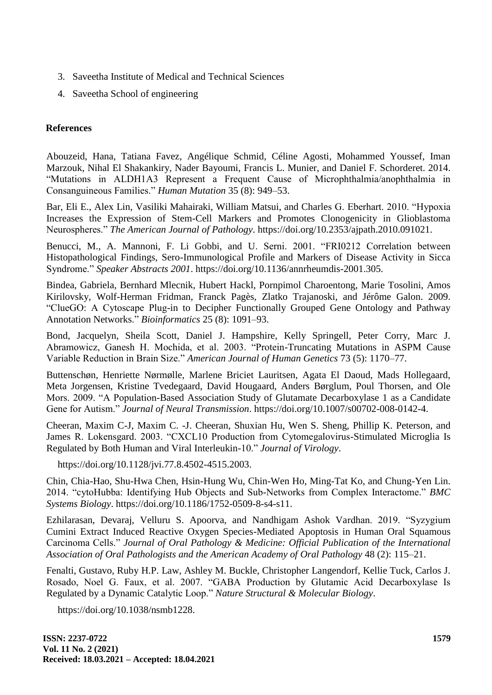- 3. Saveetha Institute of Medical and Technical Sciences
- 4. Saveetha School of engineering

# **References**

Abouzeid, Hana, Tatiana Favez, Angélique Schmid, Céline Agosti, Mohammed Youssef, Iman Marzouk, Nihal El Shakankiry, Nader Bayoumi, Francis L. Munier, and Daniel F. Schorderet. 2014. "Mutations in ALDH1A3 Represent a Frequent Cause of Microphthalmia/anophthalmia in Consanguineous Families." *Human Mutation* 35 (8): 949–53.

Bar, Eli E., Alex Lin, Vasiliki Mahairaki, William Matsui, and Charles G. Eberhart. 2010. "Hypoxia Increases the Expression of Stem-Cell Markers and Promotes Clonogenicity in Glioblastoma Neurospheres." *The American Journal of Pathology*. https://doi.org/10.2353/ajpath.2010.091021.

Benucci, M., A. Mannoni, F. Li Gobbi, and U. Serni. 2001. "FRI0212 Correlation between Histopathological Findings, Sero-Immunological Profile and Markers of Disease Activity in Sicca Syndrome." *Speaker Abstracts 2001*. https://doi.org/10.1136/annrheumdis-2001.305.

Bindea, Gabriela, Bernhard Mlecnik, Hubert Hackl, Pornpimol Charoentong, Marie Tosolini, Amos Kirilovsky, Wolf-Herman Fridman, Franck Pagès, Zlatko Trajanoski, and Jérôme Galon. 2009. "ClueGO: A Cytoscape Plug-in to Decipher Functionally Grouped Gene Ontology and Pathway Annotation Networks." *Bioinformatics* 25 (8): 1091–93.

Bond, Jacquelyn, Sheila Scott, Daniel J. Hampshire, Kelly Springell, Peter Corry, Marc J. Abramowicz, Ganesh H. Mochida, et al. 2003. "Protein-Truncating Mutations in ASPM Cause Variable Reduction in Brain Size." *American Journal of Human Genetics* 73 (5): 1170–77.

Buttenschøn, Henriette Nørmølle, Marlene Briciet Lauritsen, Agata El Daoud, Mads Hollegaard, Meta Jorgensen, Kristine Tvedegaard, David Hougaard, Anders Børglum, Poul Thorsen, and Ole Mors. 2009. "A Population-Based Association Study of Glutamate Decarboxylase 1 as a Candidate Gene for Autism." *Journal of Neural Transmission*. https://doi.org/10.1007/s00702-008-0142-4.

Cheeran, Maxim C-J, Maxim C. -J. Cheeran, Shuxian Hu, Wen S. Sheng, Phillip K. Peterson, and James R. Lokensgard. 2003. "CXCL10 Production from Cytomegalovirus-Stimulated Microglia Is Regulated by Both Human and Viral Interleukin-10." *Journal of Virology*.

https://doi.org/10.1128/jvi.77.8.4502-4515.2003.

Chin, Chia-Hao, Shu-Hwa Chen, Hsin-Hung Wu, Chin-Wen Ho, Ming-Tat Ko, and Chung-Yen Lin. 2014. "cytoHubba: Identifying Hub Objects and Sub-Networks from Complex Interactome." *BMC Systems Biology*. https://doi.org/10.1186/1752-0509-8-s4-s11.

Ezhilarasan, Devaraj, Velluru S. Apoorva, and Nandhigam Ashok Vardhan. 2019. "Syzygium Cumini Extract Induced Reactive Oxygen Species-Mediated Apoptosis in Human Oral Squamous Carcinoma Cells." *Journal of Oral Pathology & Medicine: Official Publication of the International Association of Oral Pathologists and the American Academy of Oral Pathology* 48 (2): 115–21.

Fenalti, Gustavo, Ruby H.P. Law, Ashley M. Buckle, Christopher Langendorf, Kellie Tuck, Carlos J. Rosado, Noel G. Faux, et al. 2007. "GABA Production by Glutamic Acid Decarboxylase Is Regulated by a Dynamic Catalytic Loop." *Nature Structural & Molecular Biology*.

https://doi.org/10.1038/nsmb1228.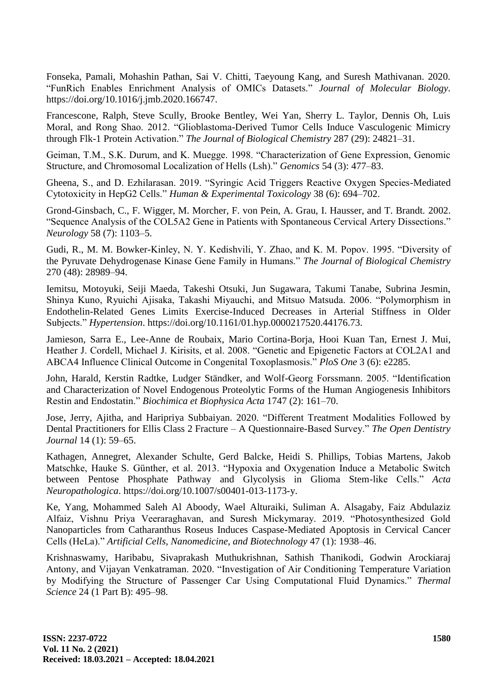Fonseka, Pamali, Mohashin Pathan, Sai V. Chitti, Taeyoung Kang, and Suresh Mathivanan. 2020. "FunRich Enables Enrichment Analysis of OMICs Datasets." *Journal of Molecular Biology*. https://doi.org/10.1016/j.jmb.2020.166747.

Francescone, Ralph, Steve Scully, Brooke Bentley, Wei Yan, Sherry L. Taylor, Dennis Oh, Luis Moral, and Rong Shao. 2012. "Glioblastoma-Derived Tumor Cells Induce Vasculogenic Mimicry through Flk-1 Protein Activation." *The Journal of Biological Chemistry* 287 (29): 24821–31.

Geiman, T.M., S.K. Durum, and K. Muegge. 1998. "Characterization of Gene Expression, Genomic Structure, and Chromosomal Localization of Hells (Lsh)." *Genomics* 54 (3): 477–83.

Gheena, S., and D. Ezhilarasan. 2019. "Syringic Acid Triggers Reactive Oxygen Species-Mediated Cytotoxicity in HepG2 Cells." *Human & Experimental Toxicology* 38 (6): 694–702.

Grond-Ginsbach, C., F. Wigger, M. Morcher, F. von Pein, A. Grau, I. Hausser, and T. Brandt. 2002. "Sequence Analysis of the COL5A2 Gene in Patients with Spontaneous Cervical Artery Dissections." *Neurology* 58 (7): 1103–5.

Gudi, R., M. M. Bowker-Kinley, N. Y. Kedishvili, Y. Zhao, and K. M. Popov. 1995. "Diversity of the Pyruvate Dehydrogenase Kinase Gene Family in Humans." *The Journal of Biological Chemistry* 270 (48): 28989–94.

Iemitsu, Motoyuki, Seiji Maeda, Takeshi Otsuki, Jun Sugawara, Takumi Tanabe, Subrina Jesmin, Shinya Kuno, Ryuichi Ajisaka, Takashi Miyauchi, and Mitsuo Matsuda. 2006. "Polymorphism in Endothelin-Related Genes Limits Exercise-Induced Decreases in Arterial Stiffness in Older Subjects." *Hypertension*. https://doi.org/10.1161/01.hyp.0000217520.44176.73.

Jamieson, Sarra E., Lee-Anne de Roubaix, Mario Cortina-Borja, Hooi Kuan Tan, Ernest J. Mui, Heather J. Cordell, Michael J. Kirisits, et al. 2008. "Genetic and Epigenetic Factors at COL2A1 and ABCA4 Influence Clinical Outcome in Congenital Toxoplasmosis." *PloS One* 3 (6): e2285.

John, Harald, Kerstin Radtke, Ludger Ständker, and Wolf-Georg Forssmann. 2005. "Identification and Characterization of Novel Endogenous Proteolytic Forms of the Human Angiogenesis Inhibitors Restin and Endostatin." *Biochimica et Biophysica Acta* 1747 (2): 161–70.

Jose, Jerry, Ajitha, and Haripriya Subbaiyan. 2020. "Different Treatment Modalities Followed by Dental Practitioners for Ellis Class 2 Fracture – A Questionnaire-Based Survey." *The Open Dentistry Journal* 14 (1): 59–65.

Kathagen, Annegret, Alexander Schulte, Gerd Balcke, Heidi S. Phillips, Tobias Martens, Jakob Matschke, Hauke S. Günther, et al. 2013. "Hypoxia and Oxygenation Induce a Metabolic Switch between Pentose Phosphate Pathway and Glycolysis in Glioma Stem-like Cells." *Acta Neuropathologica*. https://doi.org/10.1007/s00401-013-1173-y.

Ke, Yang, Mohammed Saleh Al Aboody, Wael Alturaiki, Suliman A. Alsagaby, Faiz Abdulaziz Alfaiz, Vishnu Priya Veeraraghavan, and Suresh Mickymaray. 2019. "Photosynthesized Gold Nanoparticles from Catharanthus Roseus Induces Caspase-Mediated Apoptosis in Cervical Cancer Cells (HeLa)." *Artificial Cells, Nanomedicine, and Biotechnology* 47 (1): 1938–46.

Krishnaswamy, Haribabu, Sivaprakash Muthukrishnan, Sathish Thanikodi, Godwin Arockiaraj Antony, and Vijayan Venkatraman. 2020. "Investigation of Air Conditioning Temperature Variation by Modifying the Structure of Passenger Car Using Computational Fluid Dynamics." *Thermal Science* 24 (1 Part B): 495–98.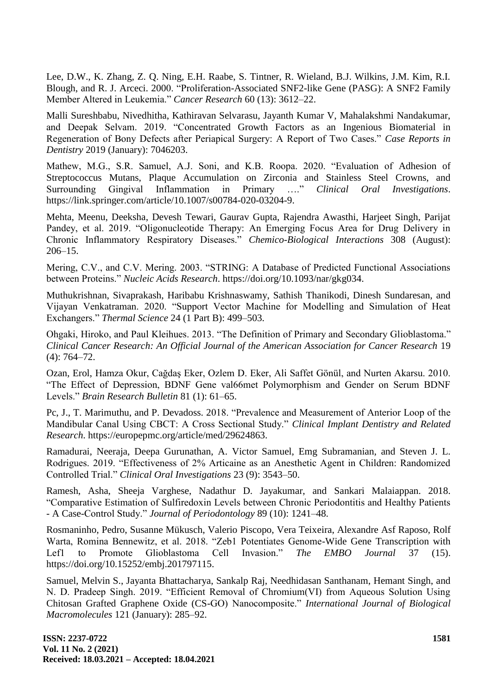Lee, D.W., K. Zhang, Z. Q. Ning, E.H. Raabe, S. Tintner, R. Wieland, B.J. Wilkins, J.M. Kim, R.I. Blough, and R. J. Arceci. 2000. "Proliferation-Associated SNF2-like Gene (PASG): A SNF2 Family Member Altered in Leukemia." *Cancer Research* 60 (13): 3612–22.

Malli Sureshbabu, Nivedhitha, Kathiravan Selvarasu, Jayanth Kumar V, Mahalakshmi Nandakumar, and Deepak Selvam. 2019. "Concentrated Growth Factors as an Ingenious Biomaterial in Regeneration of Bony Defects after Periapical Surgery: A Report of Two Cases." *Case Reports in Dentistry* 2019 (January): 7046203.

Mathew, M.G., S.R. Samuel, A.J. Soni, and K.B. Roopa. 2020. "Evaluation of Adhesion of Streptococcus Mutans, Plaque Accumulation on Zirconia and Stainless Steel Crowns, and Surrounding Gingival Inflammation in Primary …." *Clinical Oral Investigations*. https://link.springer.com/article/10.1007/s00784-020-03204-9.

Mehta, Meenu, Deeksha, Devesh Tewari, Gaurav Gupta, Rajendra Awasthi, Harjeet Singh, Parijat Pandey, et al. 2019. "Oligonucleotide Therapy: An Emerging Focus Area for Drug Delivery in Chronic Inflammatory Respiratory Diseases." *Chemico-Biological Interactions* 308 (August): 206–15.

Mering, C.V., and C.V. Mering. 2003. "STRING: A Database of Predicted Functional Associations between Proteins." *Nucleic Acids Research*. https://doi.org/10.1093/nar/gkg034.

Muthukrishnan, Sivaprakash, Haribabu Krishnaswamy, Sathish Thanikodi, Dinesh Sundaresan, and Vijayan Venkatraman. 2020. "Support Vector Machine for Modelling and Simulation of Heat Exchangers." *Thermal Science* 24 (1 Part B): 499–503.

Ohgaki, Hiroko, and Paul Kleihues. 2013. "The Definition of Primary and Secondary Glioblastoma." *Clinical Cancer Research: An Official Journal of the American Association for Cancer Research* 19 (4): 764–72.

Ozan, Erol, Hamza Okur, Cağdaş Eker, Ozlem D. Eker, Ali Saffet Gönül, and Nurten Akarsu. 2010. "The Effect of Depression, BDNF Gene val66met Polymorphism and Gender on Serum BDNF Levels." *Brain Research Bulletin* 81 (1): 61–65.

Pc, J., T. Marimuthu, and P. Devadoss. 2018. "Prevalence and Measurement of Anterior Loop of the Mandibular Canal Using CBCT: A Cross Sectional Study." *Clinical Implant Dentistry and Related Research*. https://europepmc.org/article/med/29624863.

Ramadurai, Neeraja, Deepa Gurunathan, A. Victor Samuel, Emg Subramanian, and Steven J. L. Rodrigues. 2019. "Effectiveness of 2% Articaine as an Anesthetic Agent in Children: Randomized Controlled Trial." *Clinical Oral Investigations* 23 (9): 3543–50.

Ramesh, Asha, Sheeja Varghese, Nadathur D. Jayakumar, and Sankari Malaiappan. 2018. "Comparative Estimation of Sulfiredoxin Levels between Chronic Periodontitis and Healthy Patients - A Case-Control Study." *Journal of Periodontology* 89 (10): 1241–48.

Rosmaninho, Pedro, Susanne Mükusch, Valerio Piscopo, Vera Teixeira, Alexandre Asf Raposo, Rolf Warta, Romina Bennewitz, et al. 2018. "Zeb1 Potentiates Genome-Wide Gene Transcription with Lef1 to Promote Glioblastoma Cell Invasion." *The EMBO Journal* 37 (15). https://doi.org/10.15252/embj.201797115.

Samuel, Melvin S., Jayanta Bhattacharya, Sankalp Raj, Needhidasan Santhanam, Hemant Singh, and N. D. Pradeep Singh. 2019. "Efficient Removal of Chromium(VI) from Aqueous Solution Using Chitosan Grafted Graphene Oxide (CS-GO) Nanocomposite." *International Journal of Biological Macromolecules* 121 (January): 285–92.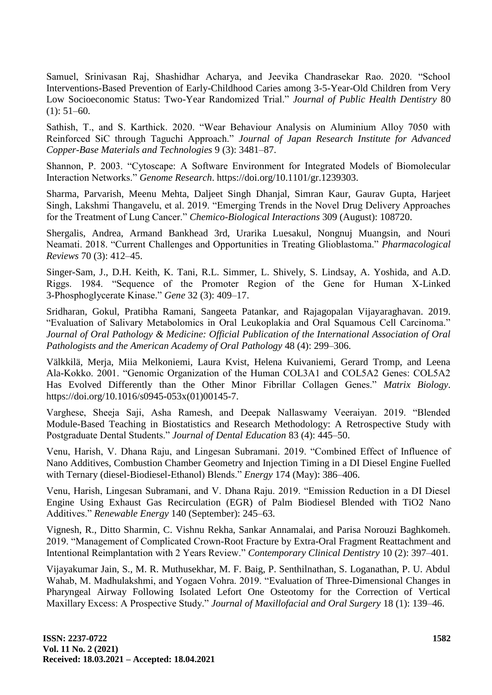Samuel, Srinivasan Raj, Shashidhar Acharya, and Jeevika Chandrasekar Rao. 2020. "School Interventions-Based Prevention of Early-Childhood Caries among 3-5-Year-Old Children from Very Low Socioeconomic Status: Two-Year Randomized Trial." *Journal of Public Health Dentistry* 80  $(1): 51-60.$ 

Sathish, T., and S. Karthick. 2020. "Wear Behaviour Analysis on Aluminium Alloy 7050 with Reinforced SiC through Taguchi Approach." *Journal of Japan Research Institute for Advanced Copper-Base Materials and Technologies* 9 (3): 3481–87.

Shannon, P. 2003. "Cytoscape: A Software Environment for Integrated Models of Biomolecular Interaction Networks." *Genome Research*. https://doi.org/10.1101/gr.1239303.

Sharma, Parvarish, Meenu Mehta, Daljeet Singh Dhanjal, Simran Kaur, Gaurav Gupta, Harjeet Singh, Lakshmi Thangavelu, et al. 2019. "Emerging Trends in the Novel Drug Delivery Approaches for the Treatment of Lung Cancer." *Chemico-Biological Interactions* 309 (August): 108720.

Shergalis, Andrea, Armand Bankhead 3rd, Urarika Luesakul, Nongnuj Muangsin, and Nouri Neamati. 2018. "Current Challenges and Opportunities in Treating Glioblastoma." *Pharmacological Reviews* 70 (3): 412–45.

Singer-Sam, J., D.H. Keith, K. Tani, R.L. Simmer, L. Shively, S. Lindsay, A. Yoshida, and A.D. Riggs. 1984. "Sequence of the Promoter Region of the Gene for Human X-Linked 3-Phosphoglycerate Kinase." *Gene* 32 (3): 409–17.

Sridharan, Gokul, Pratibha Ramani, Sangeeta Patankar, and Rajagopalan Vijayaraghavan. 2019. "Evaluation of Salivary Metabolomics in Oral Leukoplakia and Oral Squamous Cell Carcinoma." *Journal of Oral Pathology & Medicine: Official Publication of the International Association of Oral Pathologists and the American Academy of Oral Pathology* 48 (4): 299–306.

Välkkilä, Merja, Miia Melkoniemi, Laura Kvist, Helena Kuivaniemi, Gerard Tromp, and Leena Ala-Kokko. 2001. "Genomic Organization of the Human COL3A1 and COL5A2 Genes: COL5A2 Has Evolved Differently than the Other Minor Fibrillar Collagen Genes." *Matrix Biology*. https://doi.org/10.1016/s0945-053x(01)00145-7.

Varghese, Sheeja Saji, Asha Ramesh, and Deepak Nallaswamy Veeraiyan. 2019. "Blended Module-Based Teaching in Biostatistics and Research Methodology: A Retrospective Study with Postgraduate Dental Students." *Journal of Dental Education* 83 (4): 445–50.

Venu, Harish, V. Dhana Raju, and Lingesan Subramani. 2019. "Combined Effect of Influence of Nano Additives, Combustion Chamber Geometry and Injection Timing in a DI Diesel Engine Fuelled with Ternary (diesel-Biodiesel-Ethanol) Blends." *Energy* 174 (May): 386–406.

Venu, Harish, Lingesan Subramani, and V. Dhana Raju. 2019. "Emission Reduction in a DI Diesel Engine Using Exhaust Gas Recirculation (EGR) of Palm Biodiesel Blended with TiO2 Nano Additives." *Renewable Energy* 140 (September): 245–63.

Vignesh, R., Ditto Sharmin, C. Vishnu Rekha, Sankar Annamalai, and Parisa Norouzi Baghkomeh. 2019. "Management of Complicated Crown-Root Fracture by Extra-Oral Fragment Reattachment and Intentional Reimplantation with 2 Years Review." *Contemporary Clinical Dentistry* 10 (2): 397–401.

Vijayakumar Jain, S., M. R. Muthusekhar, M. F. Baig, P. Senthilnathan, S. Loganathan, P. U. Abdul Wahab, M. Madhulakshmi, and Yogaen Vohra. 2019. "Evaluation of Three-Dimensional Changes in Pharyngeal Airway Following Isolated Lefort One Osteotomy for the Correction of Vertical Maxillary Excess: A Prospective Study." *Journal of Maxillofacial and Oral Surgery* 18 (1): 139–46.